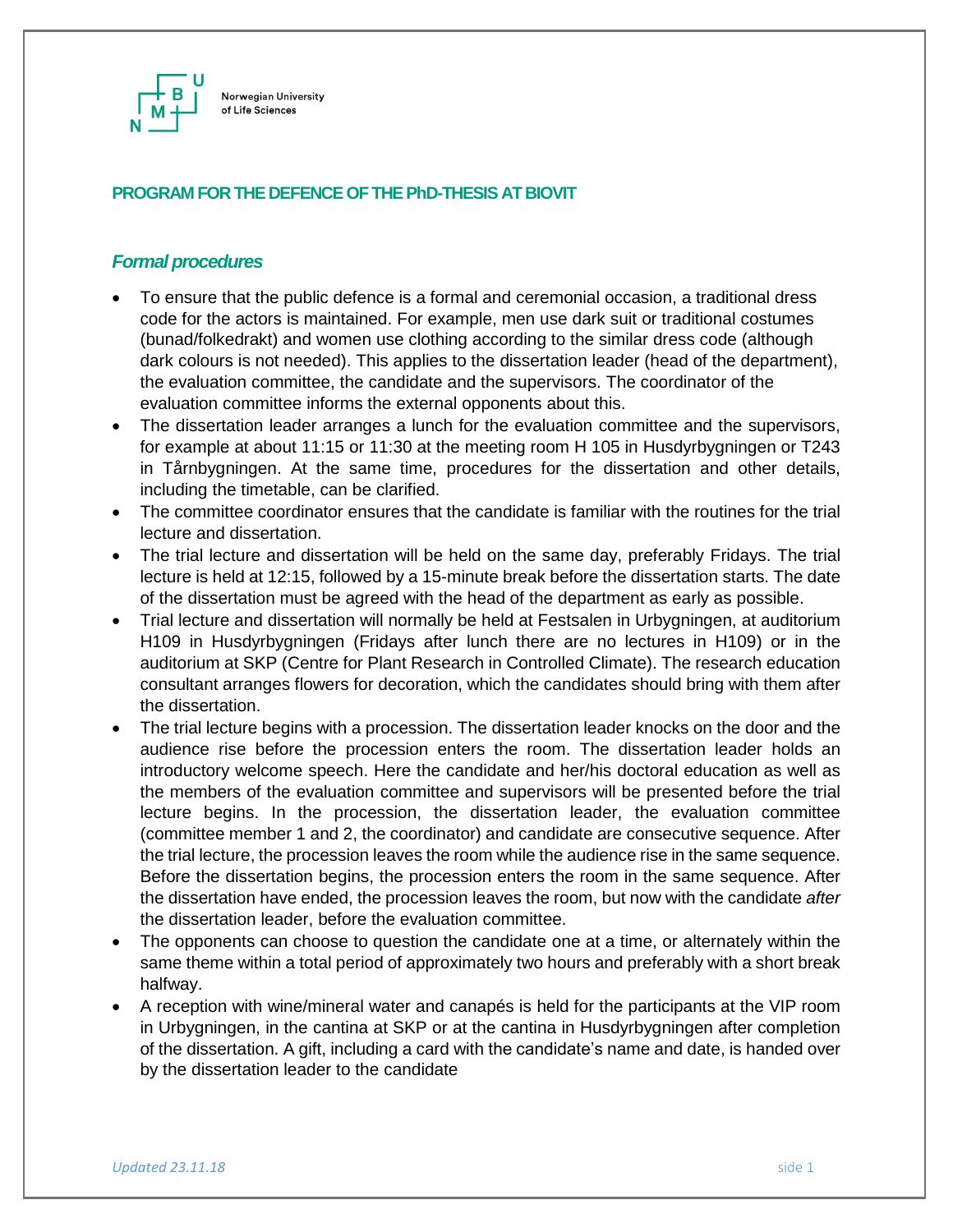

## **PROGRAM FOR THE DEFENCE OF THE PhD-THESIS AT BIOVIT**

## *Formal procedures*

- To ensure that the public defence is a formal and ceremonial occasion, a traditional dress code for the actors is maintained. For example, men use dark suit or traditional costumes (bunad/folkedrakt) and women use clothing according to the similar dress code (although dark colours is not needed). This applies to the dissertation leader (head of the department), the evaluation committee, the candidate and the supervisors. The coordinator of the evaluation committee informs the external opponents about this.
- The dissertation leader arranges a lunch for the evaluation committee and the supervisors, for example at about 11:15 or 11:30 at the meeting room H 105 in Husdyrbygningen or T243 in Tårnbygningen. At the same time, procedures for the dissertation and other details, including the timetable, can be clarified.
- The committee coordinator ensures that the candidate is familiar with the routines for the trial lecture and dissertation.
- The trial lecture and dissertation will be held on the same day, preferably Fridays. The trial lecture is held at 12:15, followed by a 15-minute break before the dissertation starts. The date of the dissertation must be agreed with the head of the department as early as possible.
- Trial lecture and dissertation will normally be held at Festsalen in Urbygningen, at auditorium H109 in Husdyrbygningen (Fridays after lunch there are no lectures in H109) or in the auditorium at SKP (Centre for Plant Research in Controlled Climate). The research education consultant arranges flowers for decoration, which the candidates should bring with them after the dissertation.
- The trial lecture begins with a procession. The dissertation leader knocks on the door and the audience rise before the procession enters the room. The dissertation leader holds an introductory welcome speech. Here the candidate and her/his doctoral education as well as the members of the evaluation committee and supervisors will be presented before the trial lecture begins. In the procession, the dissertation leader, the evaluation committee (committee member 1 and 2, the coordinator) and candidate are consecutive sequence. After the trial lecture, the procession leaves the room while the audience rise in the same sequence. Before the dissertation begins, the procession enters the room in the same sequence. After the dissertation have ended, the procession leaves the room, but now with the candidate *after* the dissertation leader, before the evaluation committee.
- The opponents can choose to question the candidate one at a time, or alternately within the same theme within a total period of approximately two hours and preferably with a short break halfway.
- A reception with wine/mineral water and canapés is held for the participants at the VIP room in Urbygningen, in the cantina at SKP or at the cantina in Husdyrbygningen after completion of the dissertation. A gift, including a card with the candidate's name and date, is handed over by the dissertation leader to the candidate